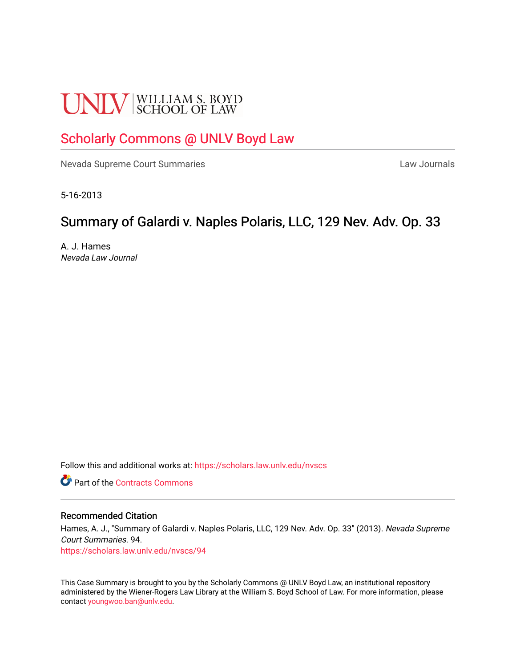# **UNLV** SCHOOL OF LAW

## [Scholarly Commons @ UNLV Boyd Law](https://scholars.law.unlv.edu/)

[Nevada Supreme Court Summaries](https://scholars.law.unlv.edu/nvscs) **Law Journals** Law Journals

5-16-2013

## Summary of Galardi v. Naples Polaris, LLC, 129 Nev. Adv. Op. 33

A. J. Hames Nevada Law Journal

Follow this and additional works at: [https://scholars.law.unlv.edu/nvscs](https://scholars.law.unlv.edu/nvscs?utm_source=scholars.law.unlv.edu%2Fnvscs%2F94&utm_medium=PDF&utm_campaign=PDFCoverPages)

**C** Part of the [Contracts Commons](http://network.bepress.com/hgg/discipline/591?utm_source=scholars.law.unlv.edu%2Fnvscs%2F94&utm_medium=PDF&utm_campaign=PDFCoverPages)

#### Recommended Citation

Hames, A. J., "Summary of Galardi v. Naples Polaris, LLC, 129 Nev. Adv. Op. 33" (2013). Nevada Supreme Court Summaries. 94. [https://scholars.law.unlv.edu/nvscs/94](https://scholars.law.unlv.edu/nvscs/94?utm_source=scholars.law.unlv.edu%2Fnvscs%2F94&utm_medium=PDF&utm_campaign=PDFCoverPages) 

This Case Summary is brought to you by the Scholarly Commons @ UNLV Boyd Law, an institutional repository administered by the Wiener-Rogers Law Library at the William S. Boyd School of Law. For more information, please contact [youngwoo.ban@unlv.edu](mailto:youngwoo.ban@unlv.edu).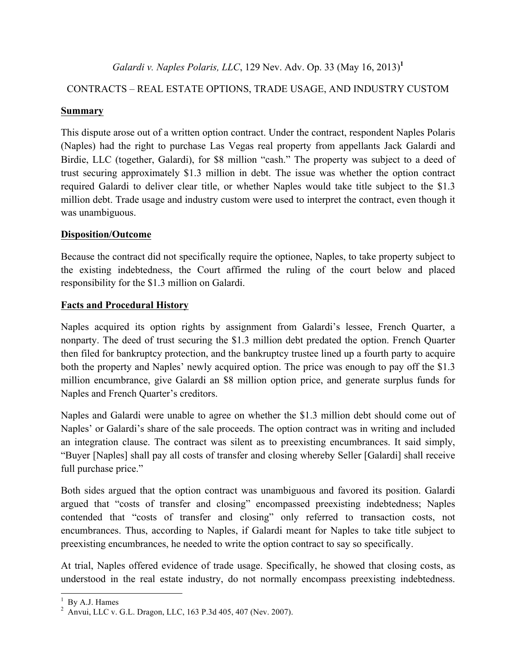*Galardi v. Naples Polaris, LLC*, 129 Nev. Adv. Op. 33 (May 16, 2013)**<sup>1</sup>**

### CONTRACTS *–* REAL ESTATE OPTIONS, TRADE USAGE, AND INDUSTRY CUSTOM

#### **Summary**

This dispute arose out of a written option contract. Under the contract, respondent Naples Polaris (Naples) had the right to purchase Las Vegas real property from appellants Jack Galardi and Birdie, LLC (together, Galardi), for \$8 million "cash." The property was subject to a deed of trust securing approximately \$1.3 million in debt. The issue was whether the option contract required Galardi to deliver clear title, or whether Naples would take title subject to the \$1.3 million debt. Trade usage and industry custom were used to interpret the contract, even though it was unambiguous.

#### **Disposition/Outcome**

Because the contract did not specifically require the optionee, Naples, to take property subject to the existing indebtedness, the Court affirmed the ruling of the court below and placed responsibility for the \$1.3 million on Galardi.

#### **Facts and Procedural History**

Naples acquired its option rights by assignment from Galardi's lessee, French Quarter, a nonparty. The deed of trust securing the \$1.3 million debt predated the option. French Quarter then filed for bankruptcy protection, and the bankruptcy trustee lined up a fourth party to acquire both the property and Naples' newly acquired option. The price was enough to pay off the \$1.3 million encumbrance, give Galardi an \$8 million option price, and generate surplus funds for Naples and French Quarter's creditors.

Naples and Galardi were unable to agree on whether the \$1.3 million debt should come out of Naples' or Galardi's share of the sale proceeds. The option contract was in writing and included an integration clause. The contract was silent as to preexisting encumbrances. It said simply, "Buyer [Naples] shall pay all costs of transfer and closing whereby Seller [Galardi] shall receive full purchase price."

Both sides argued that the option contract was unambiguous and favored its position. Galardi argued that "costs of transfer and closing" encompassed preexisting indebtedness; Naples contended that "costs of transfer and closing" only referred to transaction costs, not encumbrances. Thus, according to Naples, if Galardi meant for Naples to take title subject to preexisting encumbrances, he needed to write the option contract to say so specifically.

At trial, Naples offered evidence of trade usage. Specifically, he showed that closing costs, as understood in the real estate industry, do not normally encompass preexisting indebtedness.

 $1$  By A.J. Hames

 $\frac{2}{3}$  Anvui, LLC v. G.L. Dragon, LLC, 163 P.3d 405, 407 (Nev. 2007).